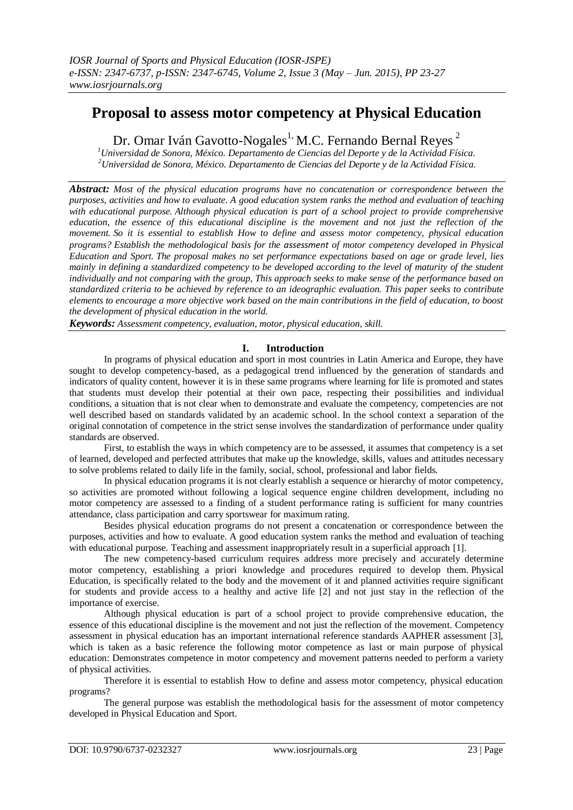# **Proposal to assess motor competency at Physical Education**

Dr. Omar Iván Gavotto-Nogales<sup>1,</sup> M.C. Fernando Bernal Reyes<sup>2</sup>

*<sup>1</sup>Universidad de Sonora, México. Departamento de Ciencias del Deporte y de la Actividad Física. <sup>2</sup>Universidad de Sonora, México. Departamento de Ciencias del Deporte y de la Actividad Física.*

*Abstract: Most of the physical education programs have no concatenation or correspondence between the purposes, activities and how to evaluate. A good education system ranks the method and evaluation of teaching with educational purpose. Although physical education is part of a school project to provide comprehensive education, the essence of this educational discipline is the movement and not just the reflection of the movement. So it is essential to establish How to define and assess motor competency, physical education programs? Establish the methodological basis for the assessment of motor competency developed in Physical Education and Sport. The proposal makes no set performance expectations based on age or grade level, lies mainly in defining a standardized competency to be developed according to the level of maturity of the student individually and not comparing with the group, This approach seeks to make sense of the performance based on standardized criteria to be achieved by reference to an ideographic evaluation. This paper seeks to contribute elements to encourage a more objective work based on the main contributions in the field of education, to boost the development of physical education in the world.*

*Keywords: Assessment competency, evaluation, motor, physical education, skill.*

#### **I. Introduction**

In programs of physical education and sport in most countries in Latin America and Europe, they have sought to develop competency-based, as a pedagogical trend influenced by the generation of standards and indicators of quality content, however it is in these same programs where learning for life is promoted and states that students must develop their potential at their own pace, respecting their possibilities and individual conditions, a situation that is not clear when to demonstrate and evaluate the competency, competencies are not well described based on standards validated by an academic school. In the school context a separation of the original connotation of competence in the strict sense involves the standardization of performance under quality standards are observed.

First, to establish the ways in which competency are to be assessed, it assumes that competency is a set of learned, developed and perfected attributes that make up the knowledge, skills, values and attitudes necessary to solve problems related to daily life in the family, social, school, professional and labor fields.

In physical education programs it is not clearly establish a sequence or hierarchy of motor competency, so activities are promoted without following a logical sequence engine children development, including no motor competency are assessed to a finding of a student performance rating is sufficient for many countries attendance, class participation and carry sportswear for maximum rating.

Besides physical education programs do not present a concatenation or correspondence between the purposes, activities and how to evaluate. A good education system ranks the method and evaluation of teaching with educational purpose. Teaching and assessment inappropriately result in a superficial approach [1].

The new competency-based curriculum requires address more precisely and accurately determine motor competency, establishing a priori knowledge and procedures required to develop them. Physical Education, is specifically related to the body and the movement of it and planned activities require significant for students and provide access to a healthy and active life [2] and not just stay in the reflection of the importance of exercise.

Although physical education is part of a school project to provide comprehensive education, the essence of this educational discipline is the movement and not just the reflection of the movement. Competency assessment in physical education has an important international reference standards AAPHER assessment [3], which is taken as a basic reference the following motor competence as last or main purpose of physical education: Demonstrates competence in motor competency and movement patterns needed to perform a variety of physical activities.

Therefore it is essential to establish How to define and assess motor competency, physical education programs?

The general purpose was establish the methodological basis for the assessment of motor competency developed in Physical Education and Sport.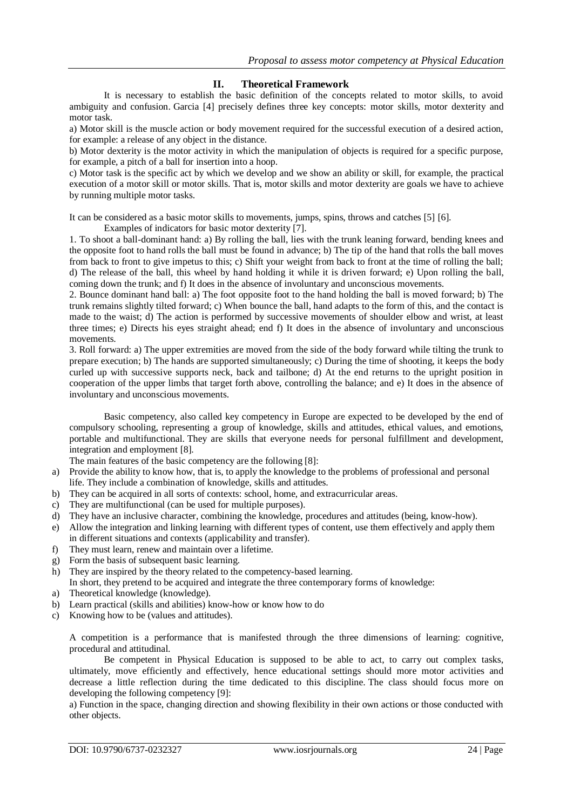### **II. Theoretical Framework**

It is necessary to establish the basic definition of the concepts related to motor skills, to avoid ambiguity and confusion. Garcia [4] precisely defines three key concepts: motor skills, motor dexterity and motor task.

a) Motor skill is the muscle action or body movement required for the successful execution of a desired action, for example: a release of any object in the distance.

b) Motor dexterity is the motor activity in which the manipulation of objects is required for a specific purpose, for example, a pitch of a ball for insertion into a hoop.

c) Motor task is the specific act by which we develop and we show an ability or skill, for example, the practical execution of a motor skill or motor skills. That is, motor skills and motor dexterity are goals we have to achieve by running multiple motor tasks.

It can be considered as a basic motor skills to movements, jumps, spins, throws and catches [5] [6].

Examples of indicators for basic motor dexterity [7].

1. To shoot a ball-dominant hand: a) By rolling the ball, lies with the trunk leaning forward, bending knees and the opposite foot to hand rolls the ball must be found in advance; b) The tip of the hand that rolls the ball moves from back to front to give impetus to this; c) Shift your weight from back to front at the time of rolling the ball; d) The release of the ball, this wheel by hand holding it while it is driven forward; e) Upon rolling the ball, coming down the trunk; and f) It does in the absence of involuntary and unconscious movements.

2. Bounce dominant hand ball: a) The foot opposite foot to the hand holding the ball is moved forward; b) The trunk remains slightly tilted forward; c) When bounce the ball, hand adapts to the form of this, and the contact is made to the waist; d) The action is performed by successive movements of shoulder elbow and wrist, at least three times; e) Directs his eyes straight ahead; end f) It does in the absence of involuntary and unconscious movements.

3. Roll forward: a) The upper extremities are moved from the side of the body forward while tilting the trunk to prepare execution; b) The hands are supported simultaneously; c) During the time of shooting, it keeps the body curled up with successive supports neck, back and tailbone; d) At the end returns to the upright position in cooperation of the upper limbs that target forth above, controlling the balance; and e) It does in the absence of involuntary and unconscious movements.

Basic competency, also called key competency in Europe are expected to be developed by the end of compulsory schooling, representing a group of knowledge, skills and attitudes, ethical values, and emotions, portable and multifunctional. They are skills that everyone needs for personal fulfillment and development, integration and employment [8].

The main features of the basic competency are the following [8]:

- a) Provide the ability to know how, that is, to apply the knowledge to the problems of professional and personal life. They include a combination of knowledge, skills and attitudes.
- b) They can be acquired in all sorts of contexts: school, home, and extracurricular areas.
- c) They are multifunctional (can be used for multiple purposes).
- d) They have an inclusive character, combining the knowledge, procedures and attitudes (being, know-how).
- e) Allow the integration and linking learning with different types of content, use them effectively and apply them in different situations and contexts (applicability and transfer).
- f) They must learn, renew and maintain over a lifetime.
- g) Form the basis of subsequent basic learning.
- h) They are inspired by the theory related to the competency-based learning.
- In short, they pretend to be acquired and integrate the three contemporary forms of knowledge: a) Theoretical knowledge (knowledge).
- 
- b) Learn practical (skills and abilities) know-how or know how to do
- c) Knowing how to be (values and attitudes).

A competition is a performance that is manifested through the three dimensions of learning: cognitive, procedural and attitudinal.

Be competent in Physical Education is supposed to be able to act, to carry out complex tasks, ultimately, move efficiently and effectively, hence educational settings should more motor activities and decrease a little reflection during the time dedicated to this discipline. The class should focus more on developing the following competency [9]:

a) Function in the space, changing direction and showing flexibility in their own actions or those conducted with other objects.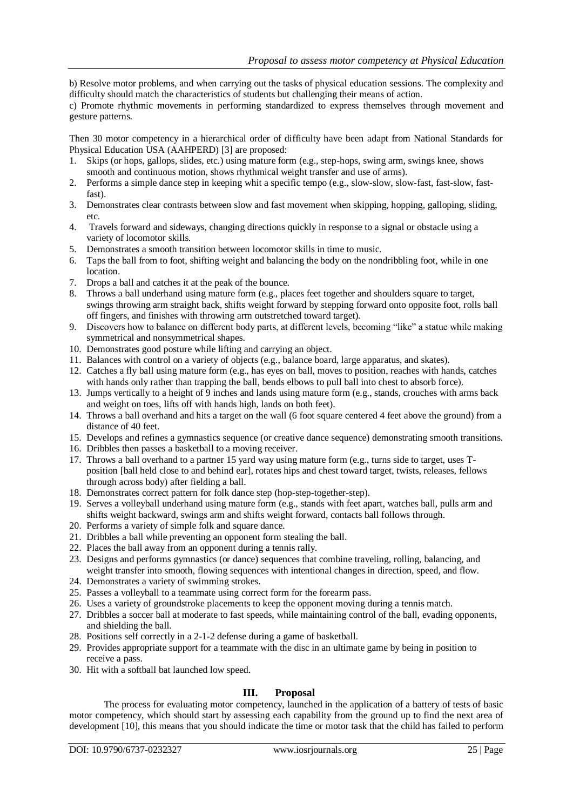b) Resolve motor problems, and when carrying out the tasks of physical education sessions. The complexity and difficulty should match the characteristics of students but challenging their means of action.

c) Promote rhythmic movements in performing standardized to express themselves through movement and gesture patterns.

Then 30 motor competency in a hierarchical order of difficulty have been adapt from National Standards for Physical Education USA (AAHPERD) [3] are proposed:

- 1. Skips (or hops, gallops, slides, etc.) using mature form (e.g., step-hops, swing arm, swings knee, shows smooth and continuous motion, shows rhythmical weight transfer and use of arms).
- 2. Performs a simple dance step in keeping whit a specific tempo (e.g., slow-slow, slow-fast, fast-slow, fastfast).
- 3. Demonstrates clear contrasts between slow and fast movement when skipping, hopping, galloping, sliding, etc.
- 4. Travels forward and sideways, changing directions quickly in response to a signal or obstacle using a variety of locomotor skills.
- 5. Demonstrates a smooth transition between locomotor skills in time to music.
- 6. Taps the ball from to foot, shifting weight and balancing the body on the nondribbling foot, while in one location.
- 7. Drops a ball and catches it at the peak of the bounce.
- 8. Throws a ball underhand using mature form (e.g., places feet together and shoulders square to target, swings throwing arm straight back, shifts weight forward by stepping forward onto opposite foot, rolls ball off fingers, and finishes with throwing arm outstretched toward target).
- 9. Discovers how to balance on different body parts, at different levels, becoming "like" a statue while making symmetrical and nonsymmetrical shapes.
- 10. Demonstrates good posture while lifting and carrying an object.
- 11. Balances with control on a variety of objects (e.g., balance board, large apparatus, and skates).
- 12. Catches a fly ball using mature form (e.g., has eyes on ball, moves to position, reaches with hands, catches with hands only rather than trapping the ball, bends elbows to pull ball into chest to absorb force).
- 13. Jumps vertically to a height of 9 inches and lands using mature form (e.g., stands, crouches with arms back and weight on toes, lifts off with hands high, lands on both feet).
- 14. Throws a ball overhand and hits a target on the wall (6 foot square centered 4 feet above the ground) from a distance of 40 feet.
- 15. Develops and refines a gymnastics sequence (or creative dance sequence) demonstrating smooth transitions.
- 16. Dribbles then passes a basketball to a moving receiver.
- 17. Throws a ball overhand to a partner 15 yard way using mature form (e.g., turns side to target, uses Tposition [ball held close to and behind ear], rotates hips and chest toward target, twists, releases, fellows through across body) after fielding a ball.
- 18. Demonstrates correct pattern for folk dance step (hop-step-together-step).
- 19. Serves a volleyball underhand using mature form (e.g., stands with feet apart, watches ball, pulls arm and shifts weight backward, swings arm and shifts weight forward, contacts ball follows through.
- 20. Performs a variety of simple folk and square dance.
- 21. Dribbles a ball while preventing an opponent form stealing the ball.
- 22. Places the ball away from an opponent during a tennis rally.
- 23. Designs and performs gymnastics (or dance) sequences that combine traveling, rolling, balancing, and weight transfer into smooth, flowing sequences with intentional changes in direction, speed, and flow.
- 24. Demonstrates a variety of swimming strokes.
- 25. Passes a volleyball to a teammate using correct form for the forearm pass.
- 26. Uses a variety of groundstroke placements to keep the opponent moving during a tennis match.
- 27. Dribbles a soccer ball at moderate to fast speeds, while maintaining control of the ball, evading opponents, and shielding the ball.
- 28. Positions self correctly in a 2-1-2 defense during a game of basketball.
- 29. Provides appropriate support for a teammate with the disc in an ultimate game by being in position to receive a pass.
- 30. Hit with a softball bat launched low speed.

#### **III. Proposal**

The process for evaluating motor competency, launched in the application of a battery of tests of basic motor competency, which should start by assessing each capability from the ground up to find the next area of development [10], this means that you should indicate the time or motor task that the child has failed to perform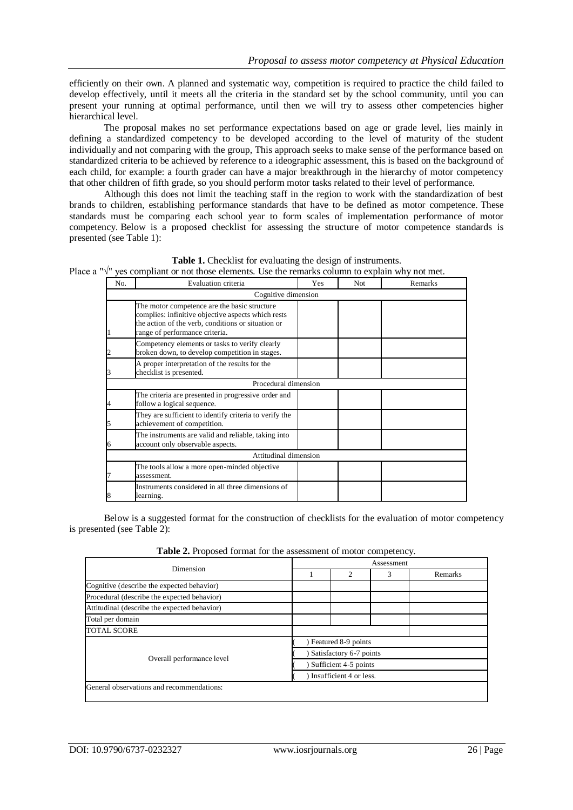efficiently on their own. A planned and systematic way, competition is required to practice the child failed to develop effectively, until it meets all the criteria in the standard set by the school community, until you can present your running at optimal performance, until then we will try to assess other competencies higher hierarchical level.

The proposal makes no set performance expectations based on age or grade level, lies mainly in defining a standardized competency to be developed according to the level of maturity of the student individually and not comparing with the group, This approach seeks to make sense of the performance based on standardized criteria to be achieved by reference to a ideographic assessment, this is based on the background of each child, for example: a fourth grader can have a major breakthrough in the hierarchy of motor competency that other children of fifth grade, so you should perform motor tasks related to their level of performance.

Although this does not limit the teaching staff in the region to work with the standardization of best brands to children, establishing performance standards that have to be defined as motor competence. These standards must be comparing each school year to form scales of implementation performance of motor competency. Below is a proposed checklist for assessing the structure of motor competence standards is presented (see Table 1):

| <b>Table 1.</b> Checklist for evaluating the design of instruments.                                        |
|------------------------------------------------------------------------------------------------------------|
| Place a " $\sqrt{ }$ " yes compliant or not those elements. Use the remarks column to explain why not met. |

| No. | Evaluation criteria                                                                                                                                                                        | Yes | <b>Not</b> | Remarks |
|-----|--------------------------------------------------------------------------------------------------------------------------------------------------------------------------------------------|-----|------------|---------|
|     | Cognitive dimension                                                                                                                                                                        |     |            |         |
|     | The motor competence are the basic structure<br>complies: infinitive objective aspects which rests<br>the action of the verb, conditions or situation or<br>range of performance criteria. |     |            |         |
|     | Competency elements or tasks to verify clearly<br>broken down, to develop competition in stages.                                                                                           |     |            |         |
|     | A proper interpretation of the results for the<br>checklist is presented.                                                                                                                  |     |            |         |
|     | Procedural dimension                                                                                                                                                                       |     |            |         |
|     | The criteria are presented in progressive order and<br>follow a logical sequence.                                                                                                          |     |            |         |
|     | They are sufficient to identify criteria to verify the<br>achievement of competition.                                                                                                      |     |            |         |
| 6   | The instruments are valid and reliable, taking into<br>account only observable aspects.                                                                                                    |     |            |         |
|     | Attitudinal dimension                                                                                                                                                                      |     |            |         |
|     | The tools allow a more open-minded objective<br>assessment.                                                                                                                                |     |            |         |
|     | Instruments considered in all three dimensions of<br>learning.                                                                                                                             |     |            |         |

Below is a suggested format for the construction of checklists for the evaluation of motor competency is presented (see Table 2):

**Table 2.** Proposed format for the assessment of motor competency.

| Dimension                                    | Assessment              |   |   |         |  |  |
|----------------------------------------------|-------------------------|---|---|---------|--|--|
|                                              |                         | ◠ | 3 | Remarks |  |  |
| Cognitive (describe the expected behavior)   |                         |   |   |         |  |  |
| Procedural (describe the expected behavior)  |                         |   |   |         |  |  |
| Attitudinal (describe the expected behavior) |                         |   |   |         |  |  |
| Total per domain                             |                         |   |   |         |  |  |
| <b>TOTAL SCORE</b>                           |                         |   |   |         |  |  |
|                                              | Featured 8-9 points     |   |   |         |  |  |
|                                              | Satisfactory 6-7 points |   |   |         |  |  |
| Overall performance level                    | Sufficient 4-5 points   |   |   |         |  |  |
|                                              | Insufficient 4 or less. |   |   |         |  |  |
| General observations and recommendations:    |                         |   |   |         |  |  |